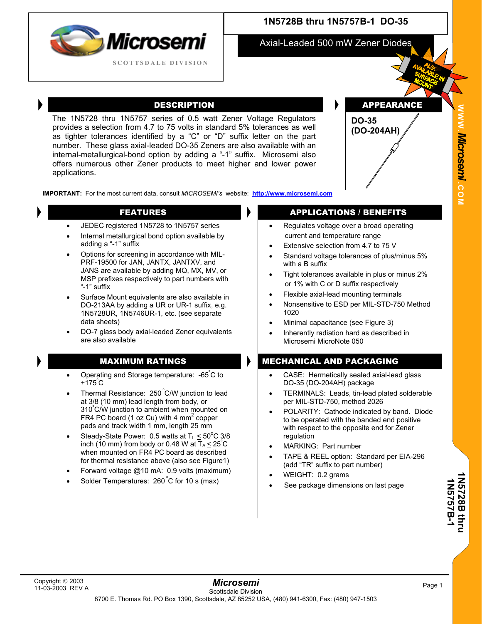

## **1N5728B thru 1N5757B-1 DO-35**

Axial-Leaded 500 mW Zener Diodes

The 1N5728 thru 1N5757 series of 0.5 watt Zener Voltage Regulators provides a selection from 4.7 to 75 volts in standard 5% tolerances as well as tighter tolerances identified by a "C" or "D" suffix letter on the part number. These glass axial-leaded DO-35 Zeners are also available with an internal-metallurgical-bond option by adding a "-1" suffix. Microsemi also offers numerous other Zener products to meet higher and lower power applications.

DESCRIPTION **APPEARANCE** 

**W W W**

*Mi* **.** *crosemi.*

**C O M**



**IMPORTANT:** For the most current data, consult *MICROSEMI's* website: **[http://www.microsemi.com](http://www.microsemi.com/)**

- JEDEC registered 1N5728 to 1N5757 series
- Internal metallurgical bond option available by adding a "-1" suffix
- Options for screening in accordance with MIL-PRF-19500 for JAN, JANTX, JANTXV, and JANS are available by adding MQ, MX, MV, or MSP prefixes respectively to part numbers with "-1" suffix
- Surface Mount equivalents are also available in DO-213AA by adding a UR or UR-1 suffix, e.g. 1N5728UR, 1N5746UR-1, etc. (see separate data sheets)
- DO-7 glass body axial-leaded Zener equivalents are also available

- Operating and Storage temperature: -65°C to +175º C
- Thermal Resistance: 250 ºC/W junction to lead at 3/8 (10 mm) lead length from body, or 310º C/W junction to ambient when mounted on FR4 PC board (1 oz Cu) with 4  $mm<sup>2</sup>$  copper pads and track width 1 mm, length 25 mm
- Steady-State Power: 0.5 watts at  $T_L \leq 50^{\circ}C$  3/8 inch (10 mm) from body or 0.48 W at  $T_A \le 25^{\circ}$ C when mounted on FR4 PC board as described for thermal resistance above (also see Figure1)
- Forward voltage @10 mA: 0.9 volts (maximum)
- Solder Temperatures: 260°C for 10 s (max)

### FEATURES **APPLICATIONS** / BENEFITS

- Regulates voltage over a broad operating current and temperature range
- Extensive selection from 4.7 to 75 V
- Standard voltage tolerances of plus/minus 5% with a B suffix
- Tight tolerances available in plus or minus 2% or 1% with C or D suffix respectively
- Flexible axial-lead mounting terminals
- Nonsensitive to ESD per MIL-STD-750 Method 1020
- Minimal capacitance (see Figure 3)
- Inherently radiation hard as described in Microsemi MicroNote 050

### MAXIMUM RATINGS **MECHANICAL AND PACKAGING**

- CASE: Hermetically sealed axial-lead glass DO-35 (DO-204AH) package
- TERMINALS: Leads, tin-lead plated solderable per MIL-STD-750, method 2026
- POLARITY: Cathode indicated by band. Diode to be operated with the banded end positive with respect to the opposite end for Zener regulation
- MARKING: Part number
- TAPE & REEL option: Standard per EIA-296 (add "TR" suffix to part number)
- WEIGHT: 0.2 grams
- See package dimensions on last page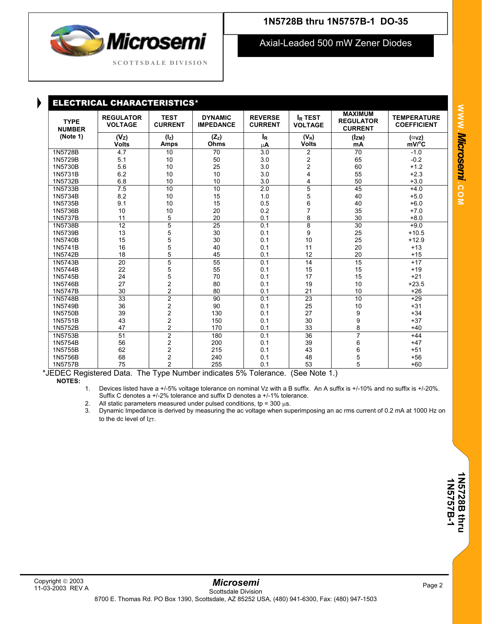# Microsemi **SCOTTSD A L E DIVISION**

## **1N5728B thru 1N5757B-1 DO-35**

Axial-Leaded 500 mW Zener Diodes

| <b>ELECTRICAL CHARACTERISTICS*</b> |                                    |                               |                                    |                                  |                                  |                                                      |                                          |  |  |  |
|------------------------------------|------------------------------------|-------------------------------|------------------------------------|----------------------------------|----------------------------------|------------------------------------------------------|------------------------------------------|--|--|--|
| <b>TYPE</b><br><b>NUMBER</b>       | <b>REGULATOR</b><br><b>VOLTAGE</b> | <b>TEST</b><br><b>CURRENT</b> | <b>DYNAMIC</b><br><b>IMPEDANCE</b> | <b>REVERSE</b><br><b>CURRENT</b> | <b>IR TEST</b><br><b>VOLTAGE</b> | <b>MAXIMUM</b><br><b>REGULATOR</b><br><b>CURRENT</b> | <b>TEMPERATURE</b><br><b>COEFFICIENT</b> |  |  |  |
| (Note 1)                           | (V <sub>Z</sub> )<br><b>Volts</b>  | $(I_z)$<br><b>Amps</b>        | $(Z_z)$<br>Ohms                    | $I_R$<br>μA                      | $(V_R)$<br><b>Volts</b>          | $(I_{ZM})$<br>mA                                     | $(\alpha$ vz)<br>$mV$ <sup>o</sup> $C$   |  |  |  |
| 1N5728B                            | 4.7                                | 10                            | 70                                 | 3.0                              | $\overline{2}$                   | 70                                                   | $-1.0$                                   |  |  |  |
| 1N5729B                            | 5.1                                | 10                            | 50                                 | 3.0                              | $\overline{c}$                   | 65                                                   | $-0.2$                                   |  |  |  |
| 1N5730B                            | 5.6                                | 10                            | 25                                 | 3.0                              | $\overline{c}$                   | 60                                                   | $+1.2$                                   |  |  |  |
| 1N5731B                            | 6.2                                | 10                            | 10                                 | 3.0                              | 4                                | 55                                                   | $+2.3$                                   |  |  |  |
| 1N5732B                            | 6.8                                | 10                            | 10                                 | 3.0                              | 4                                | 50                                                   | $+3.0$                                   |  |  |  |
| 1N5733B                            | 7.5                                | 10                            | 10                                 | 2.0                              | 5                                | 45                                                   | $+4.0$                                   |  |  |  |
| 1N5734B                            | 8.2                                | 10                            | 15                                 | 1.0                              | 5                                | 40                                                   | $+5.0$                                   |  |  |  |
| 1N5735B                            | 9.1                                | 10                            | 15                                 | 0.5                              | 6                                | 40                                                   | $+6.0$                                   |  |  |  |
| 1N5736B                            | 10                                 | 10                            | 20                                 | 0.2                              | 7                                | 35                                                   | $+7.0$                                   |  |  |  |
| 1N5737B                            | 11                                 | 5                             | 20                                 | 0.1                              | 8                                | 30                                                   | $+8.0$                                   |  |  |  |
| 1N5738B                            | 12                                 | $\overline{5}$                | 25                                 | 0.1                              | 8                                | 30                                                   | $+9.0$                                   |  |  |  |
| 1N5739B                            | 13                                 | 5                             | 30                                 | 0.1                              | 9                                | 25                                                   | $+10.5$                                  |  |  |  |
| 1N5740B                            | 15                                 | $\overline{5}$                | 30                                 | 0.1                              | 10                               | 25                                                   | $+12.9$                                  |  |  |  |
| 1N5741B                            | 16                                 | 5                             | 40                                 | 0.1                              | 11                               | 20                                                   | $+13$                                    |  |  |  |
| 1N5742B                            | 18                                 | 5                             | 45                                 | 0.1                              | 12                               | 20                                                   | $+15$                                    |  |  |  |
| 1N5743B                            | 20                                 | $\overline{5}$                | 55                                 | 0.1                              | 14                               | 15                                                   | $+17$                                    |  |  |  |
| 1N5744B                            | 22                                 | 5                             | 55                                 | 0.1                              | 15                               | 15                                                   | $+19$                                    |  |  |  |
| 1N5745B                            | 24                                 | 5                             | 70                                 | 0.1                              | 17                               | 15                                                   | $+21$                                    |  |  |  |
| 1N5746B                            | 27                                 | $\overline{2}$                | 80                                 | 0.1                              | 19                               | 10                                                   | $+23.5$                                  |  |  |  |
| 1N5747B                            | 30                                 | $\overline{2}$                | 80                                 | 0.1                              | 21                               | 10                                                   | $+26$                                    |  |  |  |
| 1N5748B                            | 33                                 | $\overline{2}$                | 90                                 | 0.1                              | 23                               | 10                                                   | $+29$                                    |  |  |  |
| 1N5749B                            | 36                                 | $\overline{\mathbf{c}}$       | 90                                 | 0.1                              | 25                               | 10                                                   | $+31$                                    |  |  |  |
| 1N5750B                            | 39                                 | $\overline{2}$                | 130                                | 0.1                              | 27                               | 9                                                    | $+34$                                    |  |  |  |
| 1N5751B                            | 43                                 | $\overline{2}$                | 150                                | 0.1                              | 30                               | $\mathsf{g}$                                         | $+37$                                    |  |  |  |
| 1N5752B                            | 47                                 | $\overline{2}$                | 170                                | 0.1                              | 33                               | 8                                                    | $+40$                                    |  |  |  |
| 1N5753B                            | 51                                 | $\overline{2}$                | 180                                | 0.1                              | 36                               | 7                                                    | $+44$                                    |  |  |  |
| 1N5754B                            | 56                                 | $\overline{\mathbf{c}}$       | 200                                | 0.1                              | 39                               | 6                                                    | $+47$                                    |  |  |  |
| 1N5755B                            | 62                                 | $\overline{2}$                | 215                                | 0.1                              | 43                               |                                                      | $+51$                                    |  |  |  |
| 1N5756B                            | 68                                 | $\overline{a}$                | 240                                | 0.1                              | 48                               | 6<br>5<br>5                                          | $+56$                                    |  |  |  |
| 1N5757B                            | 75                                 | $\overline{2}$                | 255                                | 0.1                              | 53                               |                                                      | $+60$                                    |  |  |  |

\*JEDEC Registered Data. The Type Number indicates 5% Tolerance. (See Note 1.) **NOTES:**

1. Devices listed have a +/-5% voltage tolerance on nominal Vz with a B suffix. An A suffix is +/-10% and no suffix is +/-20%. Suffix C denotes a +/-2% tolerance and suffix D denotes a +/-1% tolerance.

2. All static parameters measured under pulsed conditions, tp =  $300 \,\mu s$ .

3. Dynamic Impedance is derived by measuring the ac voltage when superimposing an ac rms current of 0.2 mA at 1000 Hz on to the dc level of  $I_{7T}$ .

1N5728B **1N5728B thru 1N 5 7 57B-1**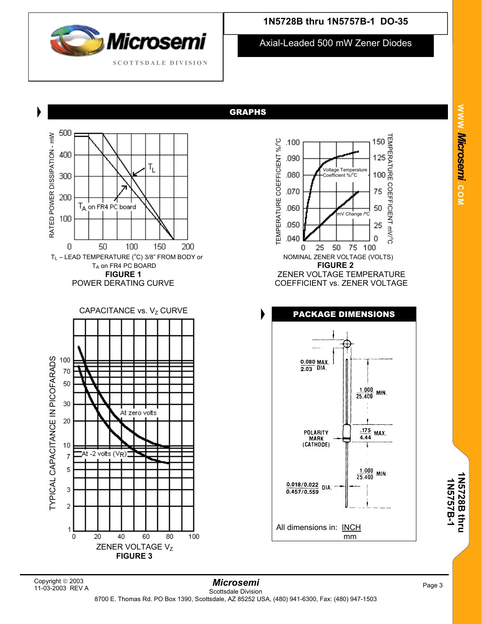

Axial-Leaded 500 mW Zener Diodes

GRAPHS

.100

.090

# $T_{L}$ TA on FR4 PC board 50 100 150 200  $T_L$  – LEAD TEMPERATURE ( $^{\circ}$ T<sub>A</sub> on FR4 PC BOARD **FIGURE 2 FIGURE 1**<br>ZENER VOLTAGE TEMPERATURE<br>COEFFICIENT vs. ZENER VOLTAGE  $\overrightarrow{C}$  CAPACITANCE vs.  $V_Z$  CURVE  $\overrightarrow{C}$  **PACKAGE DIMENSIONS** At zero volts



*Mi* **.** *crosemi.***C O M**

TEMPER

150

125

**W W W** 

# 11-03-2003 REV A

ZENER VOLTAGE Vz **FIGURE 3** 

60

80

100

40

TYPICAL CAPACITANCE IN PICOFAR TYPICAL CAPACITANCE IN PICOFARADS

RATED P O

WER DISSIPATION - mW

500

400

300

200

100

 $\overline{0}$ 

100

70 50

30

20

 $10$ 

 $\boldsymbol{7}$ 5

3

 $\overline{\mathbf{c}}$ 

1 0 4t -2 volts (V<sub>R</sub>))

20

**1N5728B thru 1N 5 7 57B-1**

**1N5728B thru**